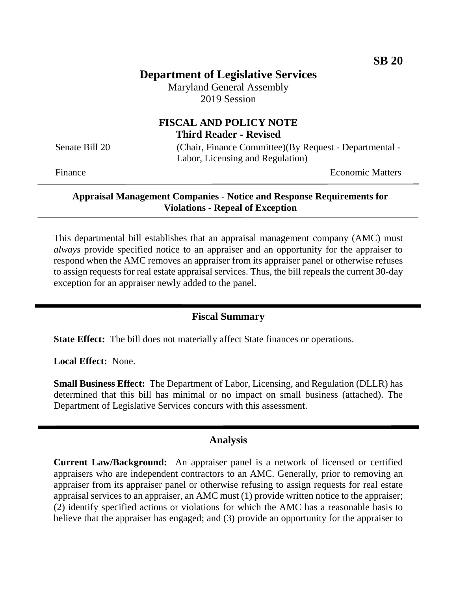# **Department of Legislative Services**

Maryland General Assembly 2019 Session

### **FISCAL AND POLICY NOTE Third Reader - Revised**

Senate Bill 20 (Chair, Finance Committee)(By Request - Departmental -Labor, Licensing and Regulation)

Finance **Exercise Economic Matters** 

#### **Appraisal Management Companies - Notice and Response Requirements for Violations - Repeal of Exception**

This departmental bill establishes that an appraisal management company (AMC) must *always* provide specified notice to an appraiser and an opportunity for the appraiser to respond when the AMC removes an appraiser from its appraiser panel or otherwise refuses to assign requests for real estate appraisal services. Thus, the bill repeals the current 30-day exception for an appraiser newly added to the panel.

## **Fiscal Summary**

**State Effect:** The bill does not materially affect State finances or operations.

**Local Effect:** None.

**Small Business Effect:** The Department of Labor, Licensing, and Regulation (DLLR) has determined that this bill has minimal or no impact on small business (attached). The Department of Legislative Services concurs with this assessment.

#### **Analysis**

**Current Law/Background:** An appraiser panel is a network of licensed or certified appraisers who are independent contractors to an AMC. Generally, prior to removing an appraiser from its appraiser panel or otherwise refusing to assign requests for real estate appraisal services to an appraiser, an AMC must (1) provide written notice to the appraiser; (2) identify specified actions or violations for which the AMC has a reasonable basis to believe that the appraiser has engaged; and (3) provide an opportunity for the appraiser to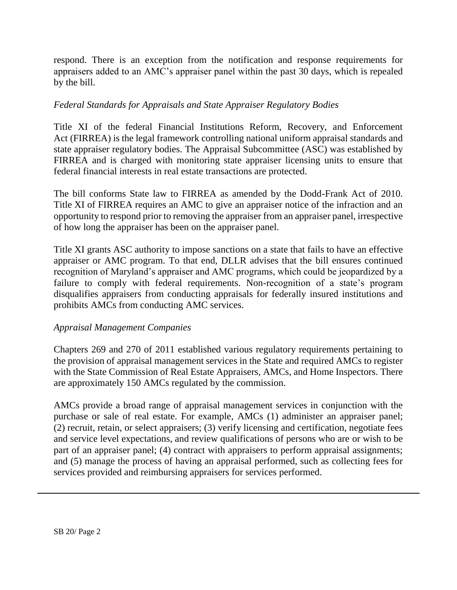respond. There is an exception from the notification and response requirements for appraisers added to an AMC's appraiser panel within the past 30 days, which is repealed by the bill.

#### *Federal Standards for Appraisals and State Appraiser Regulatory Bodies*

Title XI of the federal Financial Institutions Reform, Recovery, and Enforcement Act (FIRREA) is the legal framework controlling national uniform appraisal standards and state appraiser regulatory bodies. The Appraisal Subcommittee (ASC) was established by FIRREA and is charged with monitoring state appraiser licensing units to ensure that federal financial interests in real estate transactions are protected.

The bill conforms State law to FIRREA as amended by the Dodd-Frank Act of 2010. Title XI of FIRREA requires an AMC to give an appraiser notice of the infraction and an opportunity to respond prior to removing the appraiser from an appraiser panel, irrespective of how long the appraiser has been on the appraiser panel.

Title XI grants ASC authority to impose sanctions on a state that fails to have an effective appraiser or AMC program. To that end, DLLR advises that the bill ensures continued recognition of Maryland's appraiser and AMC programs, which could be jeopardized by a failure to comply with federal requirements. Non-recognition of a state's program disqualifies appraisers from conducting appraisals for federally insured institutions and prohibits AMCs from conducting AMC services.

#### *Appraisal Management Companies*

Chapters 269 and 270 of 2011 established various regulatory requirements pertaining to the provision of appraisal management services in the State and required AMCs to register with the State Commission of Real Estate Appraisers, AMCs, and Home Inspectors. There are approximately 150 AMCs regulated by the commission.

AMCs provide a broad range of appraisal management services in conjunction with the purchase or sale of real estate. For example, AMCs (1) administer an appraiser panel; (2) recruit, retain, or select appraisers; (3) verify licensing and certification, negotiate fees and service level expectations, and review qualifications of persons who are or wish to be part of an appraiser panel; (4) contract with appraisers to perform appraisal assignments; and (5) manage the process of having an appraisal performed, such as collecting fees for services provided and reimbursing appraisers for services performed.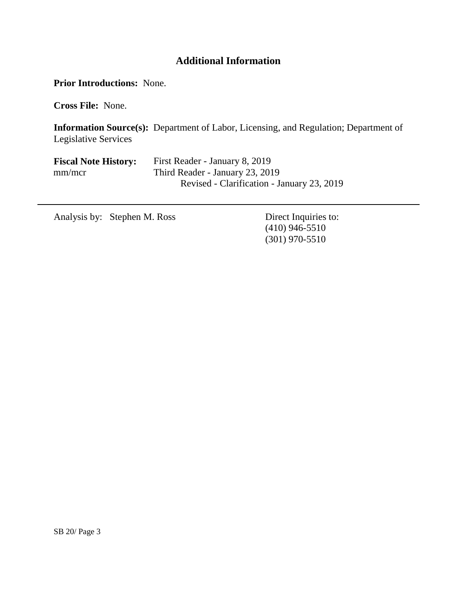## **Additional Information**

**Prior Introductions:** None.

**Cross File:** None.

**Information Source(s):** Department of Labor, Licensing, and Regulation; Department of Legislative Services

| <b>Fiscal Note History:</b> | First Reader - January 8, 2019             |
|-----------------------------|--------------------------------------------|
| mm/mcr                      | Third Reader - January 23, 2019            |
|                             | Revised - Clarification - January 23, 2019 |

Analysis by: Stephen M. Ross Direct Inquiries to:

(410) 946-5510 (301) 970-5510